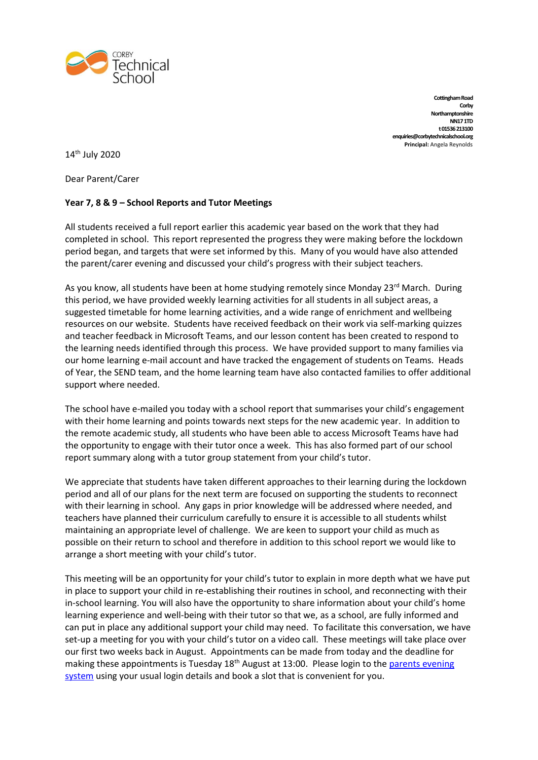

**Cottingham Road Corby Northamptonshire NN17 1TD t 01536 213100 enquiries@corbytechnicalschool.org Principal:** Angela Reynolds

14 th July 2020

Dear Parent/Carer

## **Year 7, 8 & 9 – School Reports and Tutor Meetings**

All students received a full report earlier this academic year based on the work that they had completed in school. This report represented the progress they were making before the lockdown period began, and targets that were set informed by this. Many of you would have also attended the parent/carer evening and discussed your child's progress with their subject teachers.

As you know, all students have been at home studying remotely since Monday 23<sup>rd</sup> March. During this period, we have provided weekly learning activities for all students in all subject areas, a suggested timetable for home learning activities, and a wide range of enrichment and wellbeing resources on our website. Students have received feedback on their work via self-marking quizzes and teacher feedback in Microsoft Teams, and our lesson content has been created to respond to the learning needs identified through this process. We have provided support to many families via our home learning e-mail account and have tracked the engagement of students on Teams. Heads of Year, the SEND team, and the home learning team have also contacted families to offer additional support where needed.

The school have e-mailed you today with a school report that summarises your child's engagement with their home learning and points towards next steps for the new academic year. In addition to the remote academic study, all students who have been able to access Microsoft Teams have had the opportunity to engage with their tutor once a week. This has also formed part of our school report summary along with a tutor group statement from your child's tutor.

We appreciate that students have taken different approaches to their learning during the lockdown period and all of our plans for the next term are focused on supporting the students to reconnect with their learning in school. Any gaps in prior knowledge will be addressed where needed, and teachers have planned their curriculum carefully to ensure it is accessible to all students whilst maintaining an appropriate level of challenge. We are keen to support your child as much as possible on their return to school and therefore in addition to this school report we would like to arrange a short meeting with your child's tutor.

This meeting will be an opportunity for your child's tutor to explain in more depth what we have put in place to support your child in re-establishing their routines in school, and reconnecting with their in-school learning. You will also have the opportunity to share information about your child's home learning experience and well-being with their tutor so that we, as a school, are fully informed and can put in place any additional support your child may need. To facilitate this conversation, we have set-up a meeting for you with your child's tutor on a video call. These meetings will take place over our first two weeks back in August. Appointments can be made from today and the deadline for making these appointments is Tuesday  $18<sup>th</sup>$  August at 13:00. Please login to the parents evening [system](https://corbytechnicalschool.schoolcloud.co.uk/) using your usual login details and book a slot that is convenient for you.